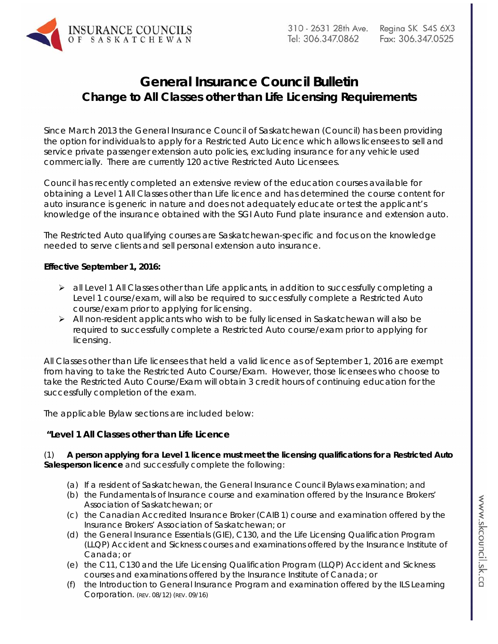# **General Insurance Council Bulletin Change to All Classes other than Life Licensing Requirements**

Since March 2013 the General Insurance Council of Saskatchewan (Council) has been providing the option for individuals to apply for a Restricted Auto Licence which allows licensees to sell and service private passenger extension auto policies, excluding insurance for any vehicle used commercially. There are currently 120 active Restricted Auto Licensees.

Council has recently completed an extensive review of the education courses available for obtaining a Level 1 All Classes other than Life licence and has determined the course content for auto insurance is generic in nature and does not adequately educate or test the applicant's knowledge of the insurance obtained with the SGI Auto Fund plate insurance and extension auto.

The Restricted Auto qualifying courses are Saskatchewan-specific and focus on the knowledge needed to serve clients and sell personal extension auto insurance.

### **Effective September 1, 2016:**

- $\triangleright$  all Level 1 All Classes other than Life applicants, in addition to successfully completing a Level 1 course/exam, will also be required to successfully complete a Restricted Auto course/exam prior to applying for licensing.
- $\triangleright$  All non-resident applicants who wish to be fully licensed in Saskatchewan will also be required to successfully complete a Restricted Auto course/exam prior to applying for licensing.

All Classes other than Life licensees that held a valid licence as of September 1, 2016 are exempt from having to take the Restricted Auto Course/Exam. However, those licensees who choose to take the Restricted Auto Course/Exam will obtain 3 credit hours of continuing education for the successfully completion of the exam.

The applicable Bylaw sections are included below:

## **"Level 1 All Classes other than Life Licence**

(1) **A person applying for a Level 1 licence must meet the licensing qualifications for a Restricted Auto Salesperson licence** and successfully complete the following:

- (a) If a resident of Saskatchewan, the General Insurance Council Bylaws examination; and
- (b) the Fundamentals of Insurance course and examination offered by the Insurance Brokers' Association of Saskatchewan; or
- (c) the Canadian Accredited Insurance Broker (CAIB 1) course and examination offered by the Insurance Brokers' Association of Saskatchewan; or
- (d) the General Insurance Essentials (GIE), C130, and the Life Licensing Qualification Program (LLQP) Accident and Sickness courses and examinations offered by the Insurance Institute of Canada; or
- (e) the C11, C130 and the Life Licensing Qualification Program (LLQP) Accident and Sickness courses and examinations offered by the Insurance Institute of Canada; or
- (f) the Introduction to General Insurance Program and examination offered by the ILS Learning Corporation. (REV. 08/12) (REV. 09/16)